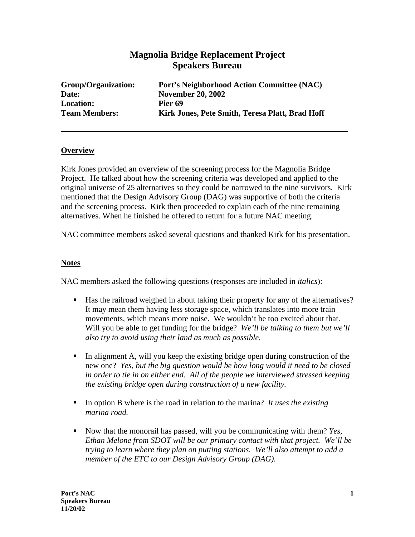# **Magnolia Bridge Replacement Project Speakers Bureau**

| Group/Organization:  | Port's Neighborhood Action Committee (NAC)      |
|----------------------|-------------------------------------------------|
| Date:                | <b>November 20, 2002</b>                        |
| <b>Location:</b>     | Pier 69                                         |
| <b>Team Members:</b> | Kirk Jones, Pete Smith, Teresa Platt, Brad Hoff |

### **Overview**

Kirk Jones provided an overview of the screening process for the Magnolia Bridge Project. He talked about how the screening criteria was developed and applied to the original universe of 25 alternatives so they could be narrowed to the nine survivors. Kirk mentioned that the Design Advisory Group (DAG) was supportive of both the criteria and the screening process. Kirk then proceeded to explain each of the nine remaining alternatives. When he finished he offered to return for a future NAC meeting.

NAC committee members asked several questions and thanked Kirk for his presentation.

#### **Notes**

NAC members asked the following questions (responses are included in *italics*):

- Has the railroad weighed in about taking their property for any of the alternatives? It may mean them having less storage space, which translates into more train movements, which means more noise. We wouldn't be too excited about that. Will you be able to get funding for the bridge? *We'll be talking to them but we'll also try to avoid using their land as much as possible.*
- In alignment A, will you keep the existing bridge open during construction of the new one? *Yes, but the big question would be how long would it need to be closed in order to tie in on either end. All of the people we interviewed stressed keeping the existing bridge open during construction of a new facility.*
- In option B where is the road in relation to the marina? *It uses the existing marina road.*
- Now that the monorail has passed, will you be communicating with them? *Yes, Ethan Melone from SDOT will be our primary contact with that project. We'll be trying to learn where they plan on putting stations. We'll also attempt to add a member of the ETC to our Design Advisory Group (DAG).*